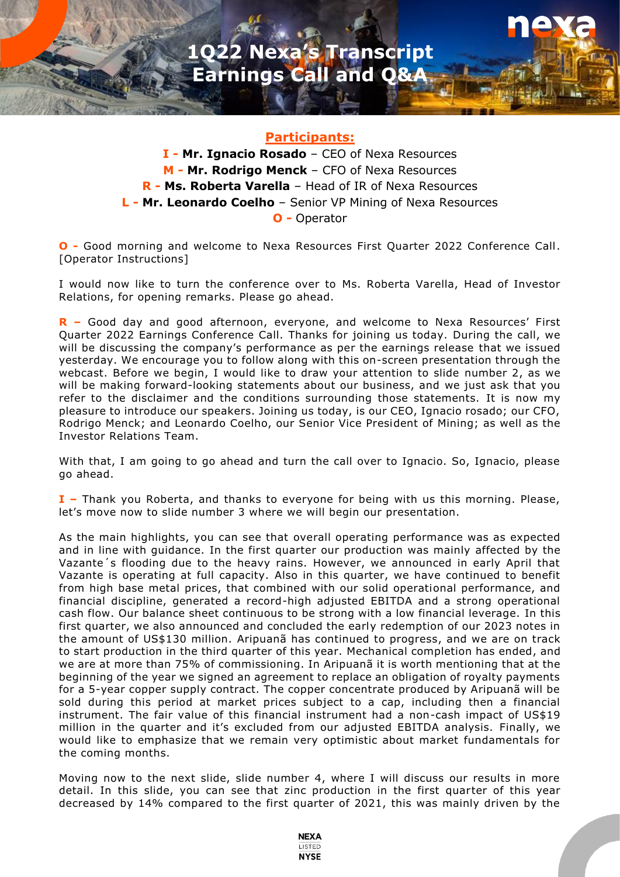

## **Participants:**

**I - Mr. Ignacio Rosado** – CEO of Nexa Resources **M - Mr. Rodrigo Menck** – CFO of Nexa Resources **R - Ms. Roberta Varella** – Head of IR of Nexa Resources **L - Mr. Leonardo Coelho** – Senior VP Mining of Nexa Resources **O -** Operator

**O -** Good morning and welcome to Nexa Resources First Quarter 2022 Conference Call. [Operator Instructions]

I would now like to turn the conference over to Ms. Roberta Varella, Head of Investor Relations, for opening remarks. Please go ahead.

**R –** Good day and good afternoon, everyone, and welcome to Nexa Resources' First Quarter 2022 Earnings Conference Call. Thanks for joining us today. During the call, we will be discussing the company's performance as per the earnings release that we issued yesterday. We encourage you to follow along with this on-screen presentation through the webcast. Before we begin, I would like to draw your attention to slide number 2, as we will be making forward-looking statements about our business, and we just ask that you refer to the disclaimer and the conditions surrounding those statements. It is now my pleasure to introduce our speakers. Joining us today, is our CEO, Ignacio rosado; our CFO, Rodrigo Menck; and Leonardo Coelho, our Senior Vice President of Mining; as well as the Investor Relations Team.

With that, I am going to go ahead and turn the call over to Ignacio. So, Ignacio, please go ahead.

**I –** Thank you Roberta, and thanks to everyone for being with us this morning. Please, let's move now to slide number 3 where we will begin our presentation.

As the main highlights, you can see that overall operating performance was as expected and in line with guidance. In the first quarter our production was mainly affected by the Vazante´s flooding due to the heavy rains. However, we announced in early April that Vazante is operating at full capacity. Also in this quarter, we have continued to benefit from high base metal prices, that combined with our solid operational performance, and financial discipline, generated a record-high adjusted EBITDA and a strong operational cash flow. Our balance sheet continuous to be strong with a low financial leverage. In this first quarter, we also announced and concluded the early redemption of our 2023 notes in the amount of US\$130 million. Aripuanã has continued to progress, and we are on track to start production in the third quarter of this year. Mechanical completion has ended, and we are at more than 75% of commissioning. In Aripuanã it is worth mentioning that at the beginning of the year we signed an agreement to replace an obligation of royalty payments for a 5-year copper supply contract. The copper concentrate produced by Aripuanã will be sold during this period at market prices subject to a cap, including then a financial instrument. The fair value of this financial instrument had a non-cash impact of US\$19 million in the quarter and it's excluded from our adjusted EBITDA analysis. Finally, we would like to emphasize that we remain very optimistic about market fundamentals for the coming months.

Moving now to the next slide, slide number 4, where I will discuss our results in more detail. In this slide, you can see that zinc production in the first quarter of this year decreased by 14% compared to the first quarter of 2021, this was mainly driven by the

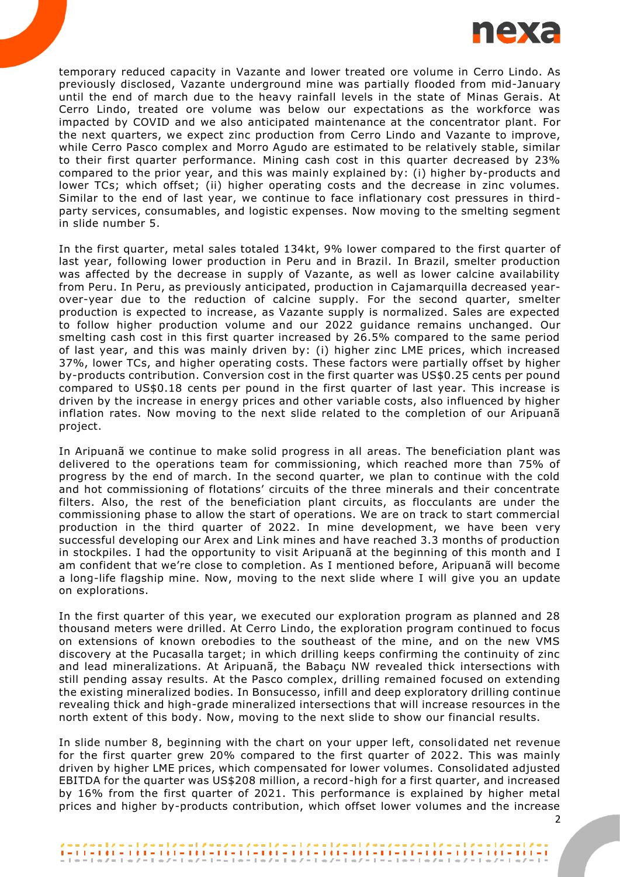

temporary reduced capacity in Vazante and lower treated ore volume in Cerro Lindo. As previously disclosed, Vazante underground mine was partially flooded from mid-January until the end of march due to the heavy rainfall levels in the state of Minas Gerais. At Cerro Lindo, treated ore volume was below our expectations as the workforce was impacted by COVID and we also anticipated maintenance at the concentrator plant. For the next quarters, we expect zinc production from Cerro Lindo and Vazante to improve, while Cerro Pasco complex and Morro Agudo are estimated to be relatively stable, similar to their first quarter performance. Mining cash cost in this quarter decreased by 23% compared to the prior year, and this was mainly explained by: (i) higher by-products and lower TCs; which offset; (ii) higher operating costs and the decrease in zinc volumes. Similar to the end of last year, we continue to face inflationary cost pressures in thirdparty services, consumables, and logistic expenses. Now moving to the smelting segment in slide number 5.

In the first quarter, metal sales totaled 134kt, 9% lower compared to the first quarter of last year, following lower production in Peru and in Brazil. In Brazil, smelter production was affected by the decrease in supply of Vazante, as well as lower calcine availability from Peru. In Peru, as previously anticipated, production in Cajamarquilla decreased yearover-year due to the reduction of calcine supply. For the second quarter, smelter production is expected to increase, as Vazante supply is normalized. Sales are expected to follow higher production volume and our 2022 guidance remains unchanged. Our smelting cash cost in this first quarter increased by 26.5% compared to the same period of last year, and this was mainly driven by: (i) higher zinc LME prices, which increased 37%, lower TCs, and higher operating costs. These factors were partially offset by higher by-products contribution. Conversion cost in the first quarter was US\$0.25 cents per pound compared to US\$0.18 cents per pound in the first quarter of last year. This increase is driven by the increase in energy prices and other variable costs, also influenced by higher inflation rates. Now moving to the next slide related to the completion of our Aripuanã project.

In Aripuanã we continue to make solid progress in all areas. The beneficiation plant was delivered to the operations team for commissioning, which reached more than 75% of progress by the end of march. In the second quarter, we plan to continue with the cold and hot commissioning of flotations' circuits of the three minerals and their concentrate filters. Also, the rest of the beneficiation plant circuits, as flocculants are under the commissioning phase to allow the start of operations. We are on track to start commercial production in the third quarter of 2022. In mine development, we have been very successful developing our Arex and Link mines and have reached 3.3 months of production in stockpiles. I had the opportunity to visit Aripuanã at the beginning of this month and I am confident that we're close to completion. As I mentioned before, Aripuanã will become a long-life flagship mine. Now, moving to the next slide where I will give you an update on explorations.

In the first quarter of this year, we executed our exploration program as planned and 28 thousand meters were drilled. At Cerro Lindo, the exploration program continued to focus on extensions of known orebodies to the southeast of the mine, and on the new VMS discovery at the Pucasalla target; in which drilling keeps confirming the continuity of zinc and lead mineralizations. At Aripuanã, the Babaçu NW revealed thick intersections with still pending assay results. At the Pasco complex, drilling remained focused on extending the existing mineralized bodies. In Bonsucesso, infill and deep exploratory drilling continue revealing thick and high-grade mineralized intersections that will increase resources in the north extent of this body. Now, moving to the next slide to show our financial results.

In slide number 8, beginning with the chart on your upper left, consolidated net revenue for the first quarter grew 20% compared to the first quarter of 2022. This was mainly driven by higher LME prices, which compensated for lower volumes. Consolidated adjusted EBITDA for the quarter was US\$208 million, a record-high for a first quarter, and increased by 16% from the first quarter of 2021. This performance is explained by higher metal prices and higher by-products contribution, which offset lower volumes and the increase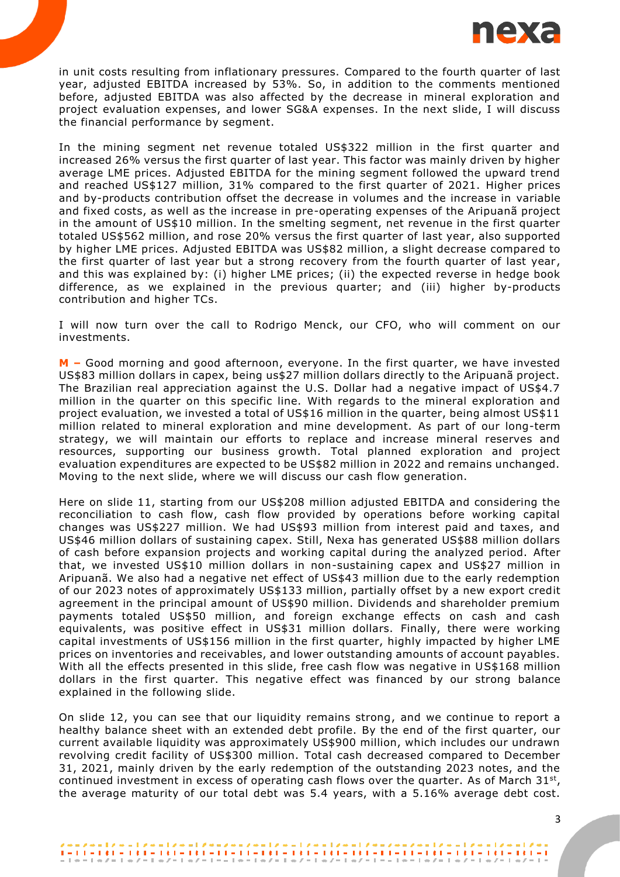

in unit costs resulting from inflationary pressures. Compared to the fourth quarter of last year, adjusted EBITDA increased by 53%. So, in addition to the comments mentioned before, adjusted EBITDA was also affected by the decrease in mineral exploration and project evaluation expenses, and lower SG&A expenses. In the next slide, I will discuss the financial performance by segment.

In the mining segment net revenue totaled US\$322 million in the first quarter and increased 26% versus the first quarter of last year. This factor was mainly driven by higher average LME prices. Adjusted EBITDA for the mining segment followed the upward trend and reached US\$127 million, 31% compared to the first quarter of 2021. Higher prices and by-products contribution offset the decrease in volumes and the increase in variable and fixed costs, as well as the increase in pre-operating expenses of the Aripuanã project in the amount of US\$10 million. In the smelting segment, net revenue in the first quarter totaled US\$562 million, and rose 20% versus the first quarter of last year, also supported by higher LME prices. Adjusted EBITDA was US\$82 million, a slight decrease compared to the first quarter of last year but a strong recovery from the fourth quarter of last year , and this was explained by: (i) higher LME prices; (ii) the expected reverse in hedge book difference, as we explained in the previous quarter; and (iii) higher by-products contribution and higher TCs.

I will now turn over the call to Rodrigo Menck, our CFO, who will comment on our investments.

**M –** Good morning and good afternoon, everyone. In the first quarter, we have invested US\$83 million dollars in capex, being us\$27 million dollars directly to the Aripuanã project. The Brazilian real appreciation against the U.S. Dollar had a negative impact of US\$4.7 million in the quarter on this specific line. With regards to the mineral exploration and project evaluation, we invested a total of US\$16 million in the quarter, being almost US\$11 million related to mineral exploration and mine development. As part of our long-term strategy, we will maintain our efforts to replace and increase mineral reserves and resources, supporting our business growth. Total planned exploration and project evaluation expenditures are expected to be US\$82 million in 2022 and remains unchanged. Moving to the next slide, where we will discuss our cash flow generation.

Here on slide 11, starting from our US\$208 million adjusted EBITDA and considering the reconciliation to cash flow, cash flow provided by operations before working capital changes was US\$227 million. We had US\$93 million from interest paid and taxes, and US\$46 million dollars of sustaining capex. Still, Nexa has generated US\$88 million dollars of cash before expansion projects and working capital during the analyzed period. After that, we invested US\$10 million dollars in non-sustaining capex and US\$27 million in Aripuanã. We also had a negative net effect of US\$43 million due to the early redemption of our 2023 notes of approximately US\$133 million, partially offset by a new export credit agreement in the principal amount of US\$90 million. Dividends and shareholder premium payments totaled US\$50 million, and foreign exchange effects on cash and cash equivalents, was positive effect in US\$31 million dollars. Finally, there were working capital investments of US\$156 million in the first quarter, highly impacted by higher LME prices on inventories and receivables, and lower outstanding amounts of account payables. With all the effects presented in this slide, free cash flow was negative in US\$168 million dollars in the first quarter. This negative effect was financed by our strong balance explained in the following slide.

On slide 12, you can see that our liquidity remains strong, and we continue to report a healthy balance sheet with an extended debt profile. By the end of the first quarter, our current available liquidity was approximately US\$900 million, which includes our undrawn revolving credit facility of US\$300 million. Total cash decreased compared to December 31, 2021, mainly driven by the early redemption of the outstanding 2023 notes, and the continued investment in excess of operating cash flows over the quarter. As of March  $31^{st}$ , the average maturity of our total debt was 5.4 years, with a 5.16% average debt cost.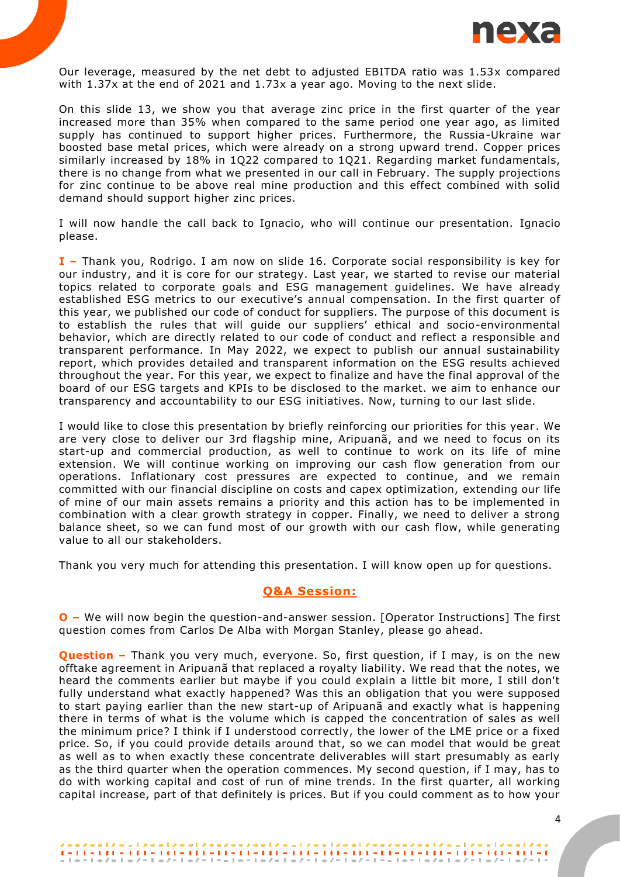

Our leverage, measured by the net debt to adjusted EBITDA ratio was 1.53x compared with 1.37x at the end of 2021 and 1.73x a year ago. Moving to the next slide.

On this slide 13, we show you that average zinc price in the first quarter of the year increased more than 35% when compared to the same period one year ago, as limited supply has continued to support higher prices. Furthermore, the Russia-Ukraine war boosted base metal prices, which were already on a strong upward trend. Copper prices similarly increased by 18% in 1Q22 compared to 1Q21. Regarding market fundamentals, there is no change from what we presented in our call in February. The supply projections for zinc continue to be above real mine production and this effect combined with solid demand should support higher zinc prices.

I will now handle the call back to Ignacio, who will continue our presentation. Ignacio please.

**I –** Thank you, Rodrigo. I am now on slide 16. Corporate social responsibility is key for our industry, and it is core for our strategy. Last year, we started to revise our material topics related to corporate goals and ESG management guidelines. We have already established ESG metrics to our executive's annual compensation. In the first quarter of this year, we published our code of conduct for suppliers. The purpose of this document is to establish the rules that will guide our suppliers' ethical and socio-environmental behavior, which are directly related to our code of conduct and reflect a responsible and transparent performance. In May 2022, we expect to publish our annual sustainability report, which provides detailed and transparent information on the ESG results achieved throughout the year. For this year, we expect to finalize and have the final approval of the board of our ESG targets and KPIs to be disclosed to the market. we aim to enhance our transparency and accountability to our ESG initiatives. Now, turning to our last slide.

I would like to close this presentation by briefly reinforcing our priorities for this year . We are very close to deliver our 3rd flagship mine, Aripuanã, and we need to focus on its start-up and commercial production, as well to continue to work on its life of mine extension. We will continue working on improving our cash flow generation from our operations. Inflationary cost pressures are expected to continue, and we remain committed with our financial discipline on costs and capex optimization, extending our life of mine of our main assets remains a priority and this action has to be implemented in combination with a clear growth strategy in copper. Finally, we need to deliver a strong balance sheet, so we can fund most of our growth with our cash flow, while generating value to all our stakeholders.

Thank you very much for attending this presentation. I will know open up for questions.

## **Q&A Session:**

**O –** We will now begin the question-and-answer session. [Operator Instructions] The first question comes from Carlos De Alba with Morgan Stanley, please go ahead.

**Question –** Thank you very much, everyone. So, first question, if I may, is on the new offtake agreement in Aripuanã that replaced a royalty liability. We read that the notes, we heard the comments earlier but maybe if you could explain a little bit more, I still don't fully understand what exactly happened? Was this an obligation that you were supposed to start paying earlier than the new start-up of Aripuanã and exactly what is happening there in terms of what is the volume which is capped the concentration of sales as well the minimum price? I think if I understood correctly, the lower of the LME price or a fixed price. So, if you could provide details around that, so we can model that would be great as well as to when exactly these concentrate deliverables will start presumably as early as the third quarter when the operation commences. My second question, if I may, has to do with working capital and cost of run of mine trends. In the first quarter, all working capital increase, part of that definitely is prices. But if you could comment as to how your

 $\frac{1}{2} + 1 \cdot \frac{1}{2} + 1 \cdot \frac{1}{2} + 1 \cdot \frac{1}{2} + 1 \cdot \frac{1}{2} + 1 \cdot \frac{1}{2} + 1 \cdot \frac{1}{2} + 1 \cdot \frac{1}{2} + 1 \cdot \frac{1}{2} + 1 \cdot \frac{1}{2} + 1 \cdot \frac{1}{2} + 1 \cdot \frac{1}{2} + 1 \cdot \frac{1}{2} + 1 \cdot \frac{1}{2} + 1 \cdot \frac{1}{2} + 1 \cdot \frac{1}{2} + 1 \cdot \frac{1}{2} + 1 \cdot \frac{1}{2} + 1 \cdot \frac{1$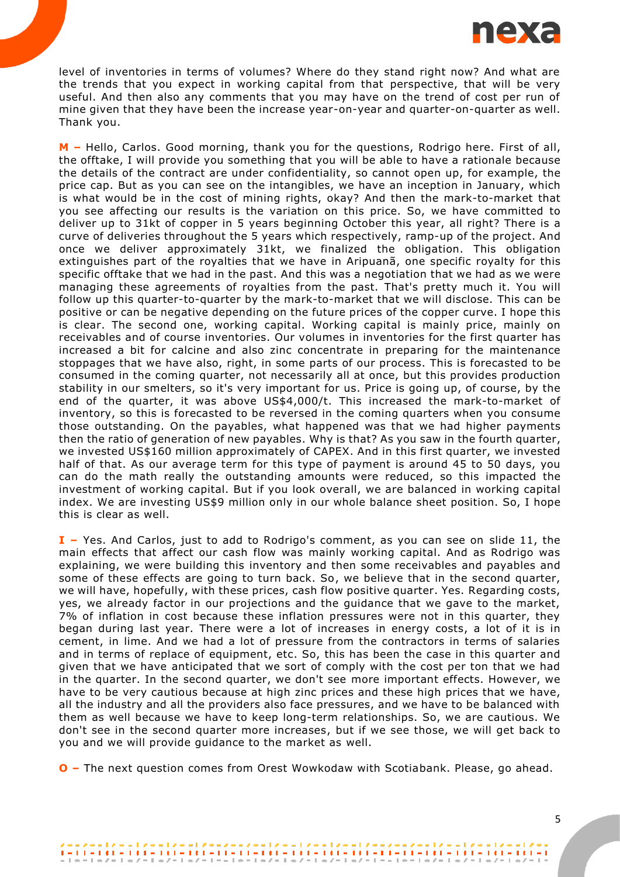

level of inventories in terms of volumes? Where do they stand right now? And what are the trends that you expect in working capital from that perspective, that will be very useful. And then also any comments that you may have on the trend of cost per run of mine given that they have been the increase year-on-year and quarter-on-quarter as well. Thank you.

**M –** Hello, Carlos. Good morning, thank you for the questions, Rodrigo here. First of all, the offtake, I will provide you something that you will be able to have a rationale because the details of the contract are under confidentiality, so cannot open up, for example, the price cap. But as you can see on the intangibles, we have an inception in January, which is what would be in the cost of mining rights, okay? And then the mark-to-market that you see affecting our results is the variation on this price. So, we have committed to deliver up to 31kt of copper in 5 years beginning October this year, all right? There is a curve of deliveries throughout the 5 years which respectively, ramp-up of the project. And once we deliver approximately 31kt, we finalized the obligation. This obligation extinguishes part of the royalties that we have in Aripuanã, one specific royalty for this specific offtake that we had in the past. And this was a negotiation that we had as we were managing these agreements of royalties from the past. That's pretty much it. You will follow up this quarter-to-quarter by the mark-to-market that we will disclose. This can be positive or can be negative depending on the future prices of the copper curve. I hope this is clear. The second one, working capital. Working capital is mainly price, mainly on receivables and of course inventories. Our volumes in inventories for the first quarter has increased a bit for calcine and also zinc concentrate in preparing for the maintenance stoppages that we have also, right, in some parts of our process. This is forecasted to be consumed in the coming quarter, not necessarily all at once, but this provides production stability in our smelters, so it's very important for us. Price is going up, of course, by the end of the quarter, it was above US\$4,000/t. This increased the mark-to-market of inventory, so this is forecasted to be reversed in the coming quarters when you consume those outstanding. On the payables, what happened was that we had higher payments then the ratio of generation of new payables. Why is that? As you saw in the fourth quarter, we invested US\$160 million approximately of CAPEX. And in this first quarter, we invested half of that. As our average term for this type of payment is around 45 to 50 days, you can do the math really the outstanding amounts were reduced, so this impacted the investment of working capital. But if you look overall, we are balanced in working capital index. We are investing US\$9 million only in our whole balance sheet position. So, I hope this is clear as well.

**I –** Yes. And Carlos, just to add to Rodrigo's comment, as you can see on slide 11, the main effects that affect our cash flow was mainly working capital. And as Rodrigo was explaining, we were building this inventory and then some receivables and payables and some of these effects are going to turn back. So, we believe that in the second quarter, we will have, hopefully, with these prices, cash flow positive quarter. Yes. Regarding costs, yes, we already factor in our projections and the guidance that we gave to the market, 7% of inflation in cost because these inflation pressures were not in this quarter, they began during last year. There were a lot of increases in energy costs, a lot of it is in cement, in lime. And we had a lot of pressure from the contractors in terms of salaries and in terms of replace of equipment, etc. So, this has been the case in this quarter and given that we have anticipated that we sort of comply with the cost per ton that we had in the quarter. In the second quarter, we don't see more important effects. However, we have to be very cautious because at high zinc prices and these high prices that we have, all the industry and all the providers also face pressures, and we have to be balanced with them as well because we have to keep long-term relationships. So, we are cautious. We don't see in the second quarter more increases, but if we see those, we will get back to you and we will provide guidance to the market as well.

**O –** The next question comes from Orest Wowkodaw with Scotiabank. Please, go ahead.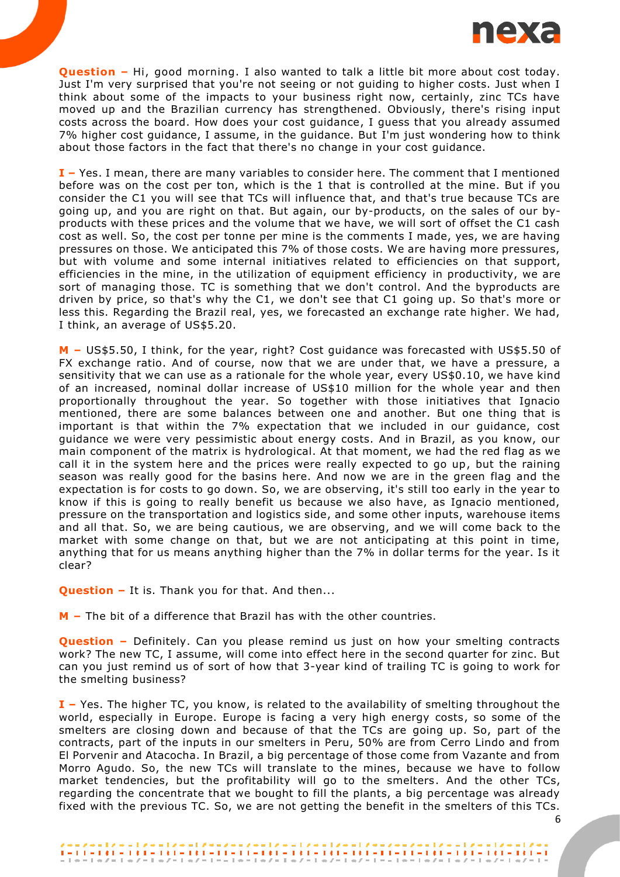

**Question –** Hi, good morning. I also wanted to talk a little bit more about cost today. Just I'm very surprised that you're not seeing or not guiding to higher costs. Just when I think about some of the impacts to your business right now, certainly, zinc TCs have moved up and the Brazilian currency has strengthened. Obviously, there's rising input costs across the board. How does your cost guidance, I guess that you already assumed 7% higher cost guidance, I assume, in the guidance. But I'm just wondering how to think about those factors in the fact that there's no change in your cost guidance.

**I –** Yes. I mean, there are many variables to consider here. The comment that I mentioned before was on the cost per ton, which is the 1 that is controlled at the mine. But if you consider the C1 you will see that TCs will influence that, and that's true because TCs are going up, and you are right on that. But again, our by-products, on the sales of our byproducts with these prices and the volume that we have, we will sort of offset the C1 cash cost as well. So, the cost per tonne per mine is the comments I made, yes, we are having pressures on those. We anticipated this 7% of those costs. We are having more pressures, but with volume and some internal initiatives related to efficiencies on that support, efficiencies in the mine, in the utilization of equipment efficiency in productivity, we are sort of managing those. TC is something that we don't control. And the byproducts are driven by price, so that's why the C1, we don't see that C1 going up. So that's more or less this. Regarding the Brazil real, yes, we forecasted an exchange rate higher. We had, I think, an average of US\$5.20.

**M –** US\$5.50, I think, for the year, right? Cost guidance was forecasted with US\$5.50 of FX exchange ratio. And of course, now that we are under that, we have a pressure, a sensitivity that we can use as a rationale for the whole year, every US\$0.10, we have kind of an increased, nominal dollar increase of US\$10 million for the whole year and then proportionally throughout the year. So together with those initiatives that Ignacio mentioned, there are some balances between one and another. But one thing that is important is that within the 7% expectation that we included in our guidance, cost guidance we were very pessimistic about energy costs. And in Brazil, as you know, our main component of the matrix is hydrological. At that moment, we had the red flag as we call it in the system here and the prices were really expected to go up, but the raining season was really good for the basins here. And now we are in the green flag and the expectation is for costs to go down. So, we are observing, it's still too early in the year to know if this is going to really benefit us because we also have, as Ignacio mentioned, pressure on the transportation and logistics side, and some other inputs, warehouse items and all that. So, we are being cautious, we are observing, and we will come back to the market with some change on that, but we are not anticipating at this point in time, anything that for us means anything higher than the 7% in dollar terms for the year. Is it clear?

**Question –** It is. Thank you for that. And then...

**M –** The bit of a difference that Brazil has with the other countries.

**Question** – Definitely. Can you please remind us just on how your smelting contracts work? The new TC, I assume, will come into effect here in the second quarter for zinc. But can you just remind us of sort of how that 3-year kind of trailing TC is going to work for the smelting business?

**I –** Yes. The higher TC, you know, is related to the availability of smelting throughout the world, especially in Europe. Europe is facing a very high energy costs, so some of the smelters are closing down and because of that the TCs are going up. So, part of the contracts, part of the inputs in our smelters in Peru, 50% are from Cerro Lindo and from El Porvenir and Atacocha. In Brazil, a big percentage of those come from Vazante and from Morro Agudo. So, the new TCs will translate to the mines, because we have to follow market tendencies, but the profitability will go to the smelters. And the other TCs, regarding the concentrate that we bought to fill the plants, a big percentage was already fixed with the previous TC. So, we are not getting the benefit in the smelters of this TCs.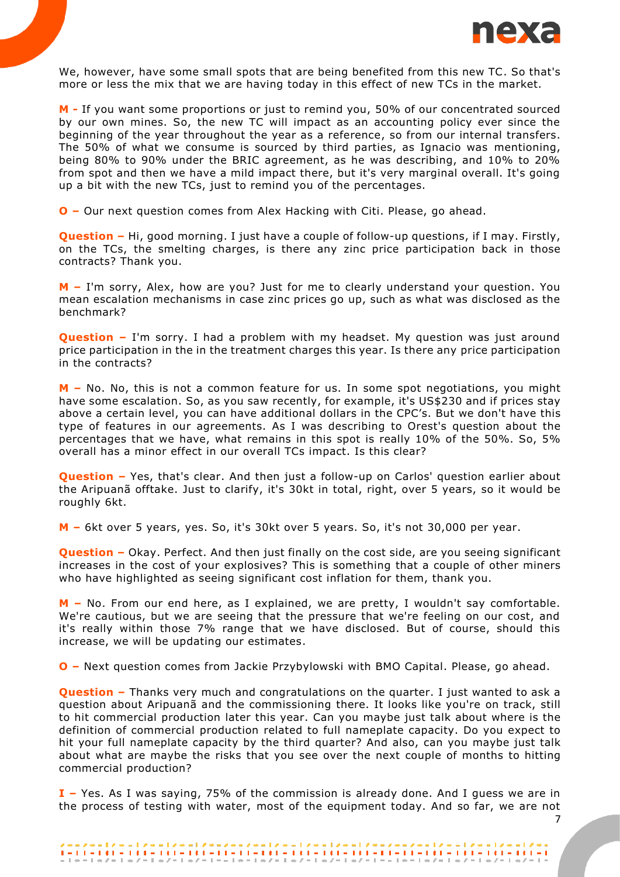

We, however, have some small spots that are being benefited from this new TC. So that's more or less the mix that we are having today in this effect of new TCs in the market.

**M -** If you want some proportions or just to remind you, 50% of our concentrated sourced by our own mines. So, the new TC will impact as an accounting policy ever since the beginning of the year throughout the year as a reference, so from our internal transfers. The 50% of what we consume is sourced by third parties, as Ignacio was mentioning, being 80% to 90% under the BRIC agreement, as he was describing, and 10% to 20% from spot and then we have a mild impact there, but it's very marginal overall. It's going up a bit with the new TCs, just to remind you of the percentages.

**O –** Our next question comes from Alex Hacking with Citi. Please, go ahead.

**Question –** Hi, good morning. I just have a couple of follow-up questions, if I may. Firstly, on the TCs, the smelting charges, is there any zinc price participation back in those contracts? Thank you.

**M –** I'm sorry, Alex, how are you? Just for me to clearly understand your question. You mean escalation mechanisms in case zinc prices go up, such as what was disclosed as the benchmark?

**Question** – I'm sorry. I had a problem with my headset. My question was just around price participation in the in the treatment charges this year. Is there any price participation in the contracts?

**M –** No. No, this is not a common feature for us. In some spot negotiations, you might have some escalation. So, as you saw recently, for example, it's US\$230 and if prices stay above a certain level, you can have additional dollars in the CPC's. But we don't have this type of features in our agreements. As I was describing to Orest's question about the percentages that we have, what remains in this spot is really 10% of the 50%. So, 5% overall has a minor effect in our overall TCs impact. Is this clear?

**Question –** Yes, that's clear. And then just a follow-up on Carlos' question earlier about the Aripuanã offtake. Just to clarify, it's 30kt in total, right, over 5 years, so it would be roughly 6kt.

**M –** 6kt over 5 years, yes. So, it's 30kt over 5 years. So, it's not 30,000 per year.

**Question –** Okay. Perfect. And then just finally on the cost side, are you seeing significant increases in the cost of your explosives? This is something that a couple of other miners who have highlighted as seeing significant cost inflation for them, thank you.

**M –** No. From our end here, as I explained, we are pretty, I wouldn't say comfortable. We're cautious, but we are seeing that the pressure that we're feeling on our cost, and it's really within those 7% range that we have disclosed. But of course, should this increase, we will be updating our estimates.

**O –** Next question comes from Jackie Przybylowski with BMO Capital. Please, go ahead.

**Question –** Thanks very much and congratulations on the quarter. I just wanted to ask a question about Aripuanã and the commissioning there. It looks like you're on track, still to hit commercial production later this year. Can you maybe just talk about where is the definition of commercial production related to full nameplate capacity. Do you expect to hit your full nameplate capacity by the third quarter? And also, can you maybe just talk about what are maybe the risks that you see over the next couple of months to hitting commercial production?

**I –** Yes. As I was saying, 75% of the commission is already done. And I guess we are in the process of testing with water, most of the equipment today. And so far, we are not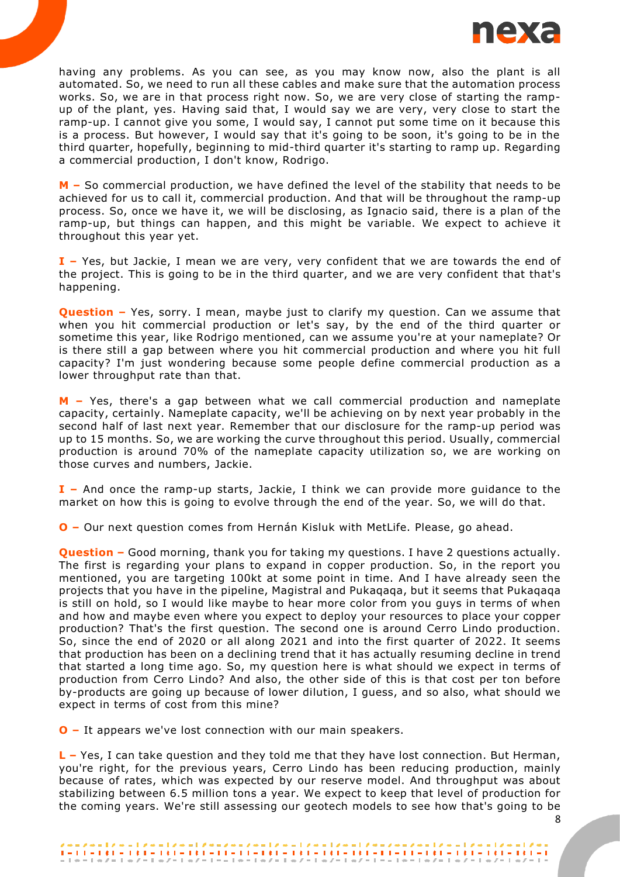

having any problems. As you can see, as you may know now, also the plant is all automated. So, we need to run all these cables and make sure that the automation process works. So, we are in that process right now. So, we are very close of starting the rampup of the plant, yes. Having said that, I would say we are very, very close to start the ramp-up. I cannot give you some, I would say, I cannot put some time on it because this is a process. But however, I would say that it's going to be soon, it's going to be in the third quarter, hopefully, beginning to mid-third quarter it's starting to ramp up. Regarding a commercial production, I don't know, Rodrigo.

**M –** So commercial production, we have defined the level of the stability that needs to be achieved for us to call it, commercial production. And that will be throughout the ramp-up process. So, once we have it, we will be disclosing, as Ignacio said, there is a plan of the ramp-up, but things can happen, and this might be variable. We expect to achieve it throughout this year yet.

**I –** Yes, but Jackie, I mean we are very, very confident that we are towards the end of the project. This is going to be in the third quarter, and we are very confident that that's happening.

**Question** – Yes, sorry. I mean, maybe just to clarify my question. Can we assume that when you hit commercial production or let's say, by the end of the third quarter or sometime this year, like Rodrigo mentioned, can we assume you're at your nameplate? Or is there still a gap between where you hit commercial production and where you hit full capacity? I'm just wondering because some people define commercial production as a lower throughput rate than that.

**M –** Yes, there's a gap between what we call commercial production and nameplate capacity, certainly. Nameplate capacity, we'll be achieving on by next year probably in the second half of last next year. Remember that our disclosure for the ramp-up period was up to 15 months. So, we are working the curve throughout this period. Usually, commercial production is around 70% of the nameplate capacity utilization so, we are working on those curves and numbers, Jackie.

**I –** And once the ramp-up starts, Jackie, I think we can provide more guidance to the market on how this is going to evolve through the end of the year. So, we will do that.

**O –** Our next question comes from Hernán Kisluk with MetLife. Please, go ahead.

**Question –** Good morning, thank you for taking my questions. I have 2 questions actually. The first is regarding your plans to expand in copper production. So, in the report you mentioned, you are targeting 100kt at some point in time. And I have already seen the projects that you have in the pipeline, Magistral and Pukaqaqa, but it seems that Pukaqaqa is still on hold, so I would like maybe to hear more color from you guys in terms of when and how and maybe even where you expect to deploy your resources to place your copper production? That's the first question. The second one is around Cerro Lindo production. So, since the end of 2020 or all along 2021 and into the first quarter of 2022. It seems that production has been on a declining trend that it has actually resuming decline in trend that started a long time ago. So, my question here is what should we expect in terms of production from Cerro Lindo? And also, the other side of this is that cost per ton before by-products are going up because of lower dilution, I guess, and so also, what should we expect in terms of cost from this mine?

**O –** It appears we've lost connection with our main speakers.

**L –** Yes, I can take question and they told me that they have lost connection. But Herman, you're right, for the previous years, Cerro Lindo has been reducing production, mainly because of rates, which was expected by our reserve model. And throughput was about stabilizing between 6.5 million tons a year. We expect to keep that level of production for the coming years. We're still assessing our geotech models to see how that's going to be

 $1 - 11 - 121 - 121 - 121 - 121 - 11 - 11 - 121 - 121 - 121 - 121 - 121 - 121 - 121 - 121 - 121 - 121 - 121 - 121 - 121 - 121 - 121 - 121 - 121 - 121 - 121 - 121 - 121 - 121 - 121 - 121 - 121 - 121 - 121 - 121 - 121 - 121 - 121 - 121 - 121 - 121 - 121 - 121 - 121 -$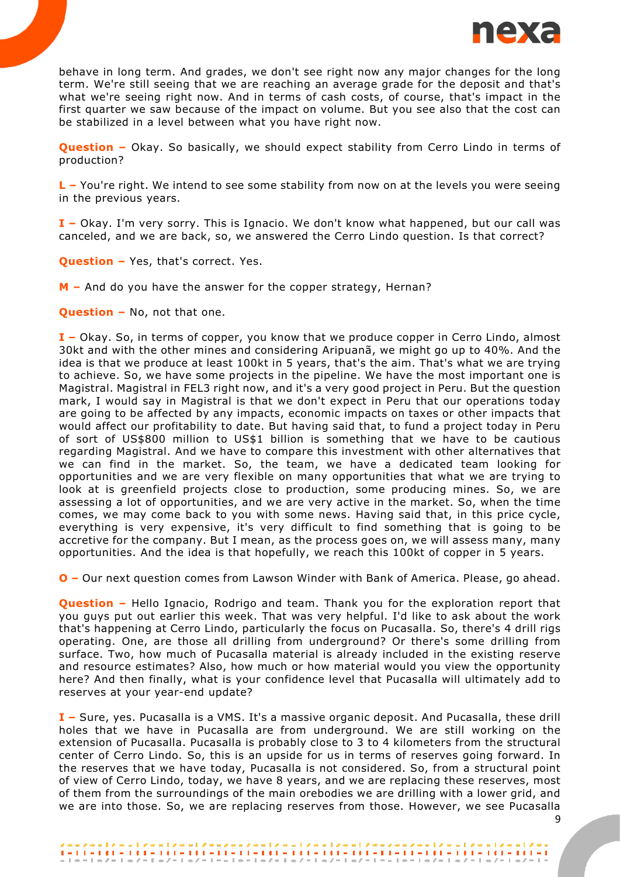

behave in long term. And grades, we don't see right now any major changes for the long term. We're still seeing that we are reaching an average grade for the deposit and that's what we're seeing right now. And in terms of cash costs, of course, that's impact in the first quarter we saw because of the impact on volume. But you see also that the cost can be stabilized in a level between what you have right now.

**Question** - Okay. So basically, we should expect stability from Cerro Lindo in terms of production?

**L –** You're right. We intend to see some stability from now on at the levels you were seeing in the previous years.

**I –** Okay. I'm very sorry. This is Ignacio. We don't know what happened, but our call was canceled, and we are back, so, we answered the Cerro Lindo question. Is that correct?

**Question –** Yes, that's correct. Yes.

**M –** And do you have the answer for the copper strategy, Hernan?

**Question –** No, not that one.

**I –** Okay. So, in terms of copper, you know that we produce copper in Cerro Lindo, almost 30kt and with the other mines and considering Aripuanã, we might go up to 40%. And the idea is that we produce at least 100kt in 5 years, that's the aim. That's what we are trying to achieve. So, we have some projects in the pipeline. We have the most important one is Magistral. Magistral in FEL3 right now, and it's a very good project in Peru. But the question mark, I would say in Magistral is that we don't expect in Peru that our operations today are going to be affected by any impacts, economic impacts on taxes or other impacts that would affect our profitability to date. But having said that, to fund a project today in Peru of sort of US\$800 million to US\$1 billion is something that we have to be cautious regarding Magistral. And we have to compare this investment with other alternatives that we can find in the market. So, the team, we have a dedicated team looking for opportunities and we are very flexible on many opportunities that what we are trying to look at is greenfield projects close to production, some producing mines. So, we are assessing a lot of opportunities, and we are very active in the market. So, when the time comes, we may come back to you with some news. Having said that, in this price cycle, everything is very expensive, it's very difficult to find something that is going to be accretive for the company. But I mean, as the process goes on, we will assess many, many opportunities. And the idea is that hopefully, we reach this 100kt of copper in 5 years.

**O –** Our next question comes from Lawson Winder with Bank of America. Please, go ahead.

**Question –** Hello Ignacio, Rodrigo and team. Thank you for the exploration report that you guys put out earlier this week. That was very helpful. I'd like to ask about the work that's happening at Cerro Lindo, particularly the focus on Pucasalla. So, there's 4 drill rigs operating. One, are those all drilling from underground? Or there's some drilling from surface. Two, how much of Pucasalla material is already included in the existing reserve and resource estimates? Also, how much or how material would you view the opportunity here? And then finally, what is your confidence level that Pucasalla will ultimately add to reserves at your year-end update?

**I –** Sure, yes. Pucasalla is a VMS. It's a massive organic deposit. And Pucasalla, these drill holes that we have in Pucasalla are from underground. We are still working on the extension of Pucasalla. Pucasalla is probably close to 3 to 4 kilometers from the structural center of Cerro Lindo. So, this is an upside for us in terms of reserves going forward. In the reserves that we have today, Pucasalla is not considered. So, from a structural point of view of Cerro Lindo, today, we have 8 years, and we are replacing these reserves, most of them from the surroundings of the main orebodies we are drilling with a lower grid, and we are into those. So, we are replacing reserves from those. However, we see Pucasalla

 $\frac{1}{2} + 1 \cdot \frac{1}{2} + 1 \cdot \frac{1}{2} + 1 \cdot \frac{1}{2} + 1 \cdot \frac{1}{2} + 1 \cdot \frac{1}{2} + 1 \cdot \frac{1}{2} + 1 \cdot \frac{1}{2} + 1 \cdot \frac{1}{2} + 1 \cdot \frac{1}{2} + 1 \cdot \frac{1}{2} + 1 \cdot \frac{1}{2} + 1 \cdot \frac{1}{2} + 1 \cdot \frac{1}{2} + 1 \cdot \frac{1}{2} + 1 \cdot \frac{1}{2} + 1 \cdot \frac{1}{2} + 1 \cdot \frac{1}{2} + 1 \cdot \frac{1$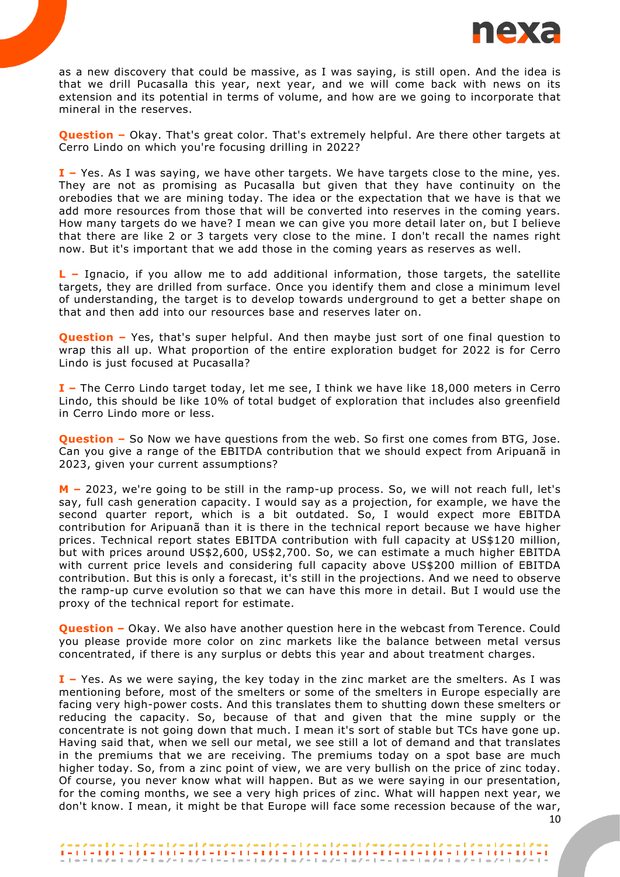

as a new discovery that could be massive, as I was saying, is still open. And the idea is that we drill Pucasalla this year, next year, and we will come back with news on its extension and its potential in terms of volume, and how are we going to incorporate that mineral in the reserves.

**Question –** Okay. That's great color. That's extremely helpful. Are there other targets at Cerro Lindo on which you're focusing drilling in 2022?

**I –** Yes. As I was saying, we have other targets. We have targets close to the mine, yes. They are not as promising as Pucasalla but given that they have continuity on the orebodies that we are mining today. The idea or the expectation that we have is that we add more resources from those that will be converted into reserves in the coming years. How many targets do we have? I mean we can give you more detail later on, but I believe that there are like 2 or 3 targets very close to the mine. I don't recall the names right now. But it's important that we add those in the coming years as reserves as well.

**L –** Ignacio, if you allow me to add additional information, those targets, the satellite targets, they are drilled from surface. Once you identify them and close a minimum level of understanding, the target is to develop towards underground to get a better shape on that and then add into our resources base and reserves later on.

**Question** – Yes, that's super helpful. And then maybe just sort of one final question to wrap this all up. What proportion of the entire exploration budget for 2022 is for Cerro Lindo is just focused at Pucasalla?

**I –** The Cerro Lindo target today, let me see, I think we have like 18,000 meters in Cerro Lindo, this should be like 10% of total budget of exploration that includes also greenfield in Cerro Lindo more or less.

**Question** – So Now we have questions from the web. So first one comes from BTG, Jose. Can you give a range of the EBITDA contribution that we should expect from Aripuanã in 2023, given your current assumptions?

**M –** 2023, we're going to be still in the ramp-up process. So, we will not reach full, let's say, full cash generation capacity. I would say as a projection, for example, we have the second quarter report, which is a bit outdated. So, I would expect more EBITDA contribution for Aripuanã than it is there in the technical report because we have higher prices. Technical report states EBITDA contribution with full capacity at US\$120 million, but with prices around US\$2,600, US\$2,700. So, we can estimate a much higher EBITDA with current price levels and considering full capacity above US\$200 million of EBITDA contribution. But this is only a forecast, it's still in the projections. And we need to observe the ramp-up curve evolution so that we can have this more in detail. But I would use the proxy of the technical report for estimate.

**Question –** Okay. We also have another question here in the webcast from Terence. Could you please provide more color on zinc markets like the balance between metal versus concentrated, if there is any surplus or debts this year and about treatment charges.

**I –** Yes. As we were saying, the key today in the zinc market are the smelters. As I was mentioning before, most of the smelters or some of the smelters in Europe especially are facing very high-power costs. And this translates them to shutting down these smelters or reducing the capacity. So, because of that and given that the mine supply or the concentrate is not going down that much. I mean it's sort of stable but TCs have gone up. Having said that, when we sell our metal, we see still a lot of demand and that translates in the premiums that we are receiving. The premiums today on a spot base are much higher today. So, from a zinc point of view, we are very bullish on the price of zinc today. Of course, you never know what will happen. But as we were saying in our presentation, for the coming months, we see a very high prices of zinc. What will happen next year, we don't know. I mean, it might be that Europe will face some recession because of the war,

 $\frac{1}{2} + 1 \cdot \frac{1}{2} + 1 \cdot \frac{1}{2} + 1 \cdot \frac{1}{2} + 1 \cdot \frac{1}{2} + 1 \cdot \frac{1}{2} + 1 \cdot \frac{1}{2} + 1 \cdot \frac{1}{2} + 1 \cdot \frac{1}{2} + 1 \cdot \frac{1}{2} + 1 \cdot \frac{1}{2} + 1 \cdot \frac{1}{2} + 1 \cdot \frac{1}{2} + 1 \cdot \frac{1}{2} + 1 \cdot \frac{1}{2} + 1 \cdot \frac{1}{2} + 1 \cdot \frac{1}{2} + 1 \cdot \frac{1}{2} + 1 \cdot \frac{1$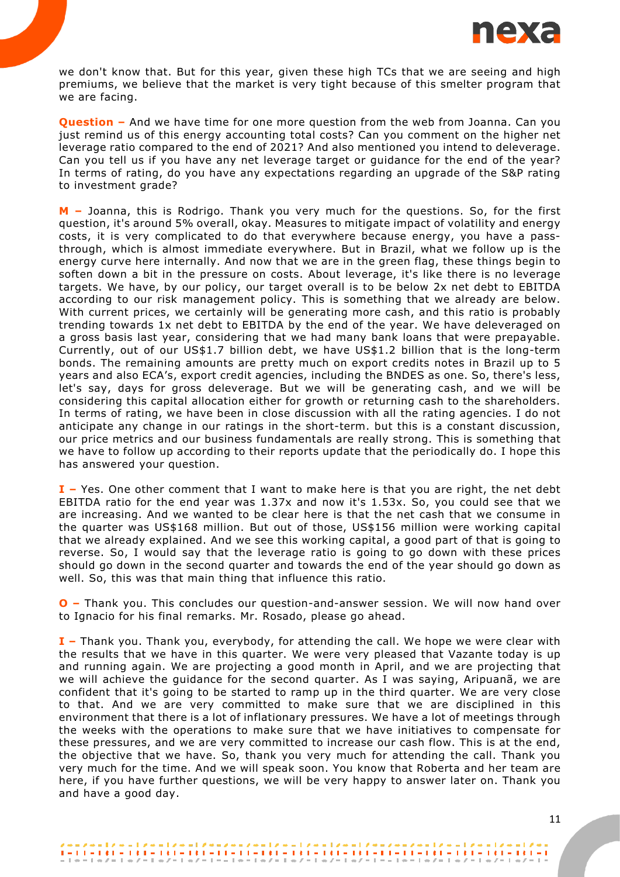

we don't know that. But for this year, given these high TCs that we are seeing and high premiums, we believe that the market is very tight because of this smelter program that we are facing.

**Question –** And we have time for one more question from the web from Joanna. Can you just remind us of this energy accounting total costs? Can you comment on the higher net leverage ratio compared to the end of 2021? And also mentioned you intend to deleverage. Can you tell us if you have any net leverage target or guidance for the end of the year? In terms of rating, do you have any expectations regarding an upgrade of the S&P rating to investment grade?

**M –** Joanna, this is Rodrigo. Thank you very much for the questions. So, for the first question, it's around 5% overall, okay. Measures to mitigate impact of volatility and energy costs, it is very complicated to do that everywhere because energy, you have a passthrough, which is almost immediate everywhere. But in Brazil, what we follow up is the energy curve here internally. And now that we are in the green flag, these things begin to soften down a bit in the pressure on costs. About leverage, it's like there is no leverage targets. We have, by our policy, our target overall is to be below 2x net debt to EBITDA according to our risk management policy. This is something that we already are below. With current prices, we certainly will be generating more cash, and this ratio is probably trending towards 1x net debt to EBITDA by the end of the year. We have deleveraged on a gross basis last year, considering that we had many bank loans that were prepayable. Currently, out of our US\$1.7 billion debt, we have US\$1.2 billion that is the long-term bonds. The remaining amounts are pretty much on export credits notes in Brazil up to 5 years and also ECA's, export credit agencies, including the BNDES as one. So, there's less, let's say, days for gross deleverage. But we will be generating cash, and we will be considering this capital allocation either for growth or returning cash to the shareholders. In terms of rating, we have been in close discussion with all the rating agencies. I do not anticipate any change in our ratings in the short-term. but this is a constant discussion, our price metrics and our business fundamentals are really strong. This is something that we have to follow up according to their reports update that the periodically do. I hope this has answered your question.

**I –** Yes. One other comment that I want to make here is that you are right, the net debt EBITDA ratio for the end year was  $1.37x$  and now it's  $1.53x$ . So, you could see that we are increasing. And we wanted to be clear here is that the net cash that we consume in the quarter was US\$168 million. But out of those, US\$156 million were working capital that we already explained. And we see this working capital, a good part of that is going to reverse. So, I would say that the leverage ratio is going to go down with these prices should go down in the second quarter and towards the end of the year should go down as well. So, this was that main thing that influence this ratio.

**O –** Thank you. This concludes our question-and-answer session. We will now hand over to Ignacio for his final remarks. Mr. Rosado, please go ahead.

**I –** Thank you. Thank you, everybody, for attending the call. We hope we were clear with the results that we have in this quarter. We were very pleased that Vazante today is up and running again. We are projecting a good month in April, and we are projecting that we will achieve the guidance for the second quarter. As I was saying, Aripuanã, we are confident that it's going to be started to ramp up in the third quarter. We are very close to that. And we are very committed to make sure that we are disciplined in this environment that there is a lot of inflationary pressures. We have a lot of meetings through the weeks with the operations to make sure that we have initiatives to compensate for these pressures, and we are very committed to increase our cash flow. This is at the end, the objective that we have. So, thank you very much for attending the call. Thank you very much for the time. And we will speak soon. You know that Roberta and her team are here, if you have further questions, we will be very happy to answer later on. Thank you and have a good day.